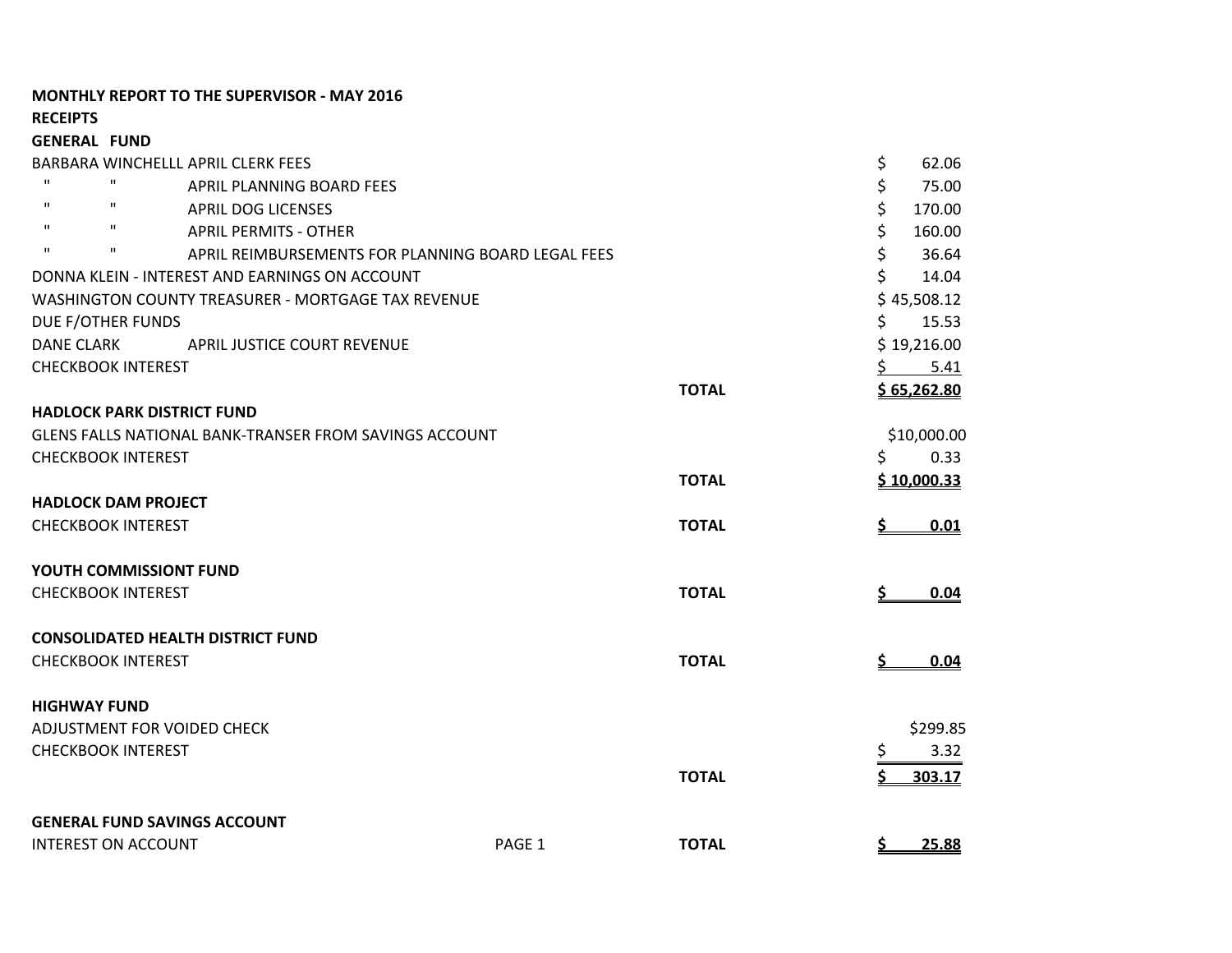## **MONTHLY REPORT TO THE SUPERVISOR - MAY 2016**

**RECEIPTS**

| <b>GENERAL FUND</b> |                                                               |                                                    |              |           |                    |
|---------------------|---------------------------------------------------------------|----------------------------------------------------|--------------|-----------|--------------------|
|                     | BARBARA WINCHELLL APRIL CLERK FEES                            |                                                    |              | \$        | 62.06              |
| $\mathbf{H}$        | $\mathbf H$<br>APRIL PLANNING BOARD FEES                      |                                                    |              | \$        | 75.00              |
| $\mathbf{H}$        | $\mathbf{H}$<br><b>APRIL DOG LICENSES</b>                     |                                                    |              | \$        | 170.00             |
| $\mathbf{H}$        | $\mathbf{H}$<br><b>APRIL PERMITS - OTHER</b>                  |                                                    |              | \$        | 160.00             |
| $\mathbf{H}$        | $\mathbf{H}$                                                  | APRIL REIMBURSEMENTS FOR PLANNING BOARD LEGAL FEES |              | \$        | 36.64              |
|                     | DONNA KLEIN - INTEREST AND EARNINGS ON ACCOUNT                |                                                    |              | \$        | 14.04              |
|                     | WASHINGTON COUNTY TREASURER - MORTGAGE TAX REVENUE            |                                                    |              |           | \$45,508.12        |
|                     | DUE F/OTHER FUNDS                                             |                                                    |              | \$        | 15.53              |
| <b>DANE CLARK</b>   | APRIL JUSTICE COURT REVENUE                                   |                                                    |              |           | \$19,216.00        |
|                     | <b>CHECKBOOK INTEREST</b>                                     |                                                    |              | S.        | 5.41               |
|                     |                                                               |                                                    | <b>TOTAL</b> |           | \$65,262.80        |
|                     | <b>HADLOCK PARK DISTRICT FUND</b>                             |                                                    |              |           |                    |
|                     | <b>GLENS FALLS NATIONAL BANK-TRANSER FROM SAVINGS ACCOUNT</b> |                                                    |              |           | \$10,000.00        |
|                     | <b>CHECKBOOK INTEREST</b>                                     |                                                    |              | \$        | 0.33               |
|                     |                                                               |                                                    | <b>TOTAL</b> |           | <u>\$10,000.33</u> |
|                     | <b>HADLOCK DAM PROJECT</b>                                    |                                                    |              |           |                    |
|                     | <b>CHECKBOOK INTEREST</b>                                     |                                                    | <b>TOTAL</b> |           | 0.01               |
|                     | YOUTH COMMISSIONT FUND                                        |                                                    |              |           |                    |
|                     | <b>CHECKBOOK INTEREST</b>                                     |                                                    | <b>TOTAL</b> | <u>\$</u> | 0.04               |
|                     | <b>CONSOLIDATED HEALTH DISTRICT FUND</b>                      |                                                    |              |           |                    |
|                     | <b>CHECKBOOK INTEREST</b>                                     |                                                    | <b>TOTAL</b> | <u>\$</u> | 0.04               |
| <b>HIGHWAY FUND</b> |                                                               |                                                    |              |           |                    |
|                     | ADJUSTMENT FOR VOIDED CHECK                                   |                                                    |              |           | \$299.85           |
|                     | <b>CHECKBOOK INTEREST</b>                                     |                                                    |              | \$        | 3.32               |
|                     |                                                               |                                                    | <b>TOTAL</b> | \$        | 303.17             |
|                     | <b>GENERAL FUND SAVINGS ACCOUNT</b>                           |                                                    |              |           |                    |
|                     | <b>INTEREST ON ACCOUNT</b>                                    | PAGE 1                                             | <b>TOTAL</b> | <u>s.</u> | 25.88              |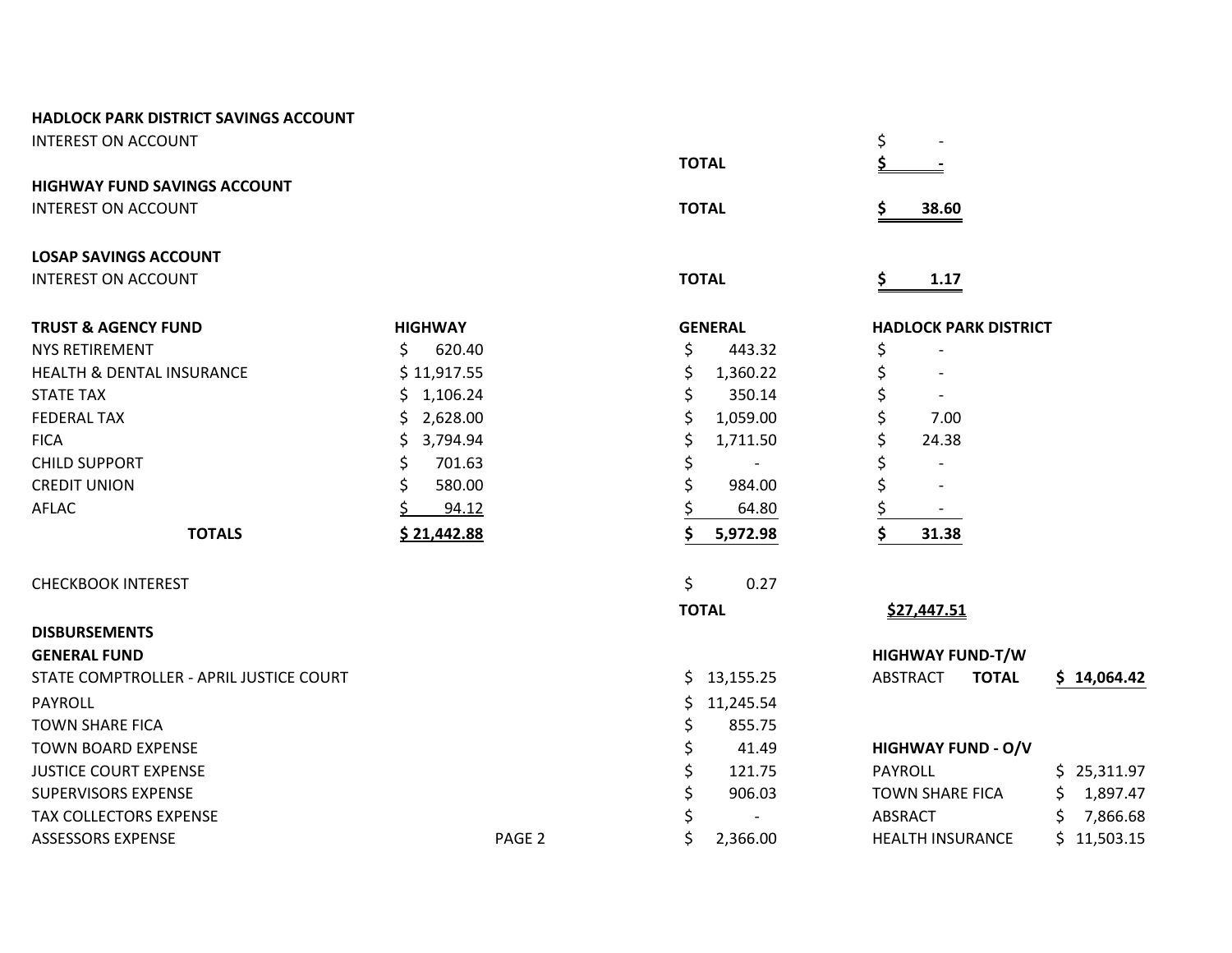INTEREST ON ACCOUNT  $\frac{1}{5}$ 

**HIGHWAY FUND SAVINGS ACCOUNT**

INTEREST ON ACCOUNT **TOTAL \$ 38.60**

# **LOSAP SAVINGS ACCOUNT**

INTEREST ON ACCOUNT **TOTAL \$ 1.17**

| <b>TRUST &amp; AGENCY FUND</b>          | <b>HIGHWAY</b> | <b>GENERAL</b>  | <b>HADLOCK PARK DISTRICT</b>              |
|-----------------------------------------|----------------|-----------------|-------------------------------------------|
| <b>NYS RETIREMENT</b>                   | 620.40<br>Ś.   | \$<br>443.32    | \$                                        |
| <b>HEALTH &amp; DENTAL INSURANCE</b>    | \$11,917.55    | \$<br>1,360.22  |                                           |
| <b>STATE TAX</b>                        | \$1,106.24     | \$<br>350.14    |                                           |
| <b>FEDERAL TAX</b>                      | 2,628.00<br>S. | \$<br>1,059.00  | 7.00                                      |
| <b>FICA</b>                             | 3,794.94<br>S. | \$<br>1,711.50  | 24.38                                     |
| <b>CHILD SUPPORT</b>                    | 701.63<br>\$   | \$              |                                           |
| <b>CREDIT UNION</b>                     | 580.00         | \$<br>984.00    |                                           |
| AFLAC                                   | 94.12          | 64.80           |                                           |
| <b>TOTALS</b>                           | \$21,442.88    | 5,972.98        | 31.38                                     |
| <b>CHECKBOOK INTEREST</b>               |                | \$<br>0.27      |                                           |
|                                         |                | <b>TOTAL</b>    | \$27,447.51                               |
| <b>DISBURSEMENTS</b>                    |                |                 |                                           |
| <b>GENERAL FUND</b>                     |                |                 | <b>HIGHWAY FUND-T/W</b>                   |
| STATE COMPTROLLER - APRIL JUSTICE COURT |                | \$13,155.25     | ABSTRACT<br><b>TOTAL</b><br>\$14,064.42   |
| <b>PAYROLL</b>                          |                | 11,245.54<br>Ś. |                                           |
| <b>TOWN SHARE FICA</b>                  |                | 855.75<br>\$    |                                           |
| <b>TOWN BOARD EXPENSE</b>               |                | \$<br>41.49     | <b>HIGHWAY FUND - O/V</b>                 |
| <b>JUSTICE COURT EXPENSE</b>            |                | \$<br>121.75    | \$25,311.97<br>PAYROLL                    |
| <b>SUPERVISORS EXPENSE</b>              |                | \$<br>906.03    | 1,897.47<br><b>TOWN SHARE FICA</b><br>\$. |

 $TOTAL$ 

# TAX COLLECTORS EXPENSE STRAINING TAX COLLECTORS EXPENSE STRAINING TAX COLLECTORS EXPENSE ASSESSORS EXPENSE ASSESSORS EXPENSE And the set of the page 2 to the page 2 to the set of the page 2 to the page 2 to the page 2 to the page 2 to the page 2 to the page 2 to the page 2 to the page 2 to the page 2 to the pa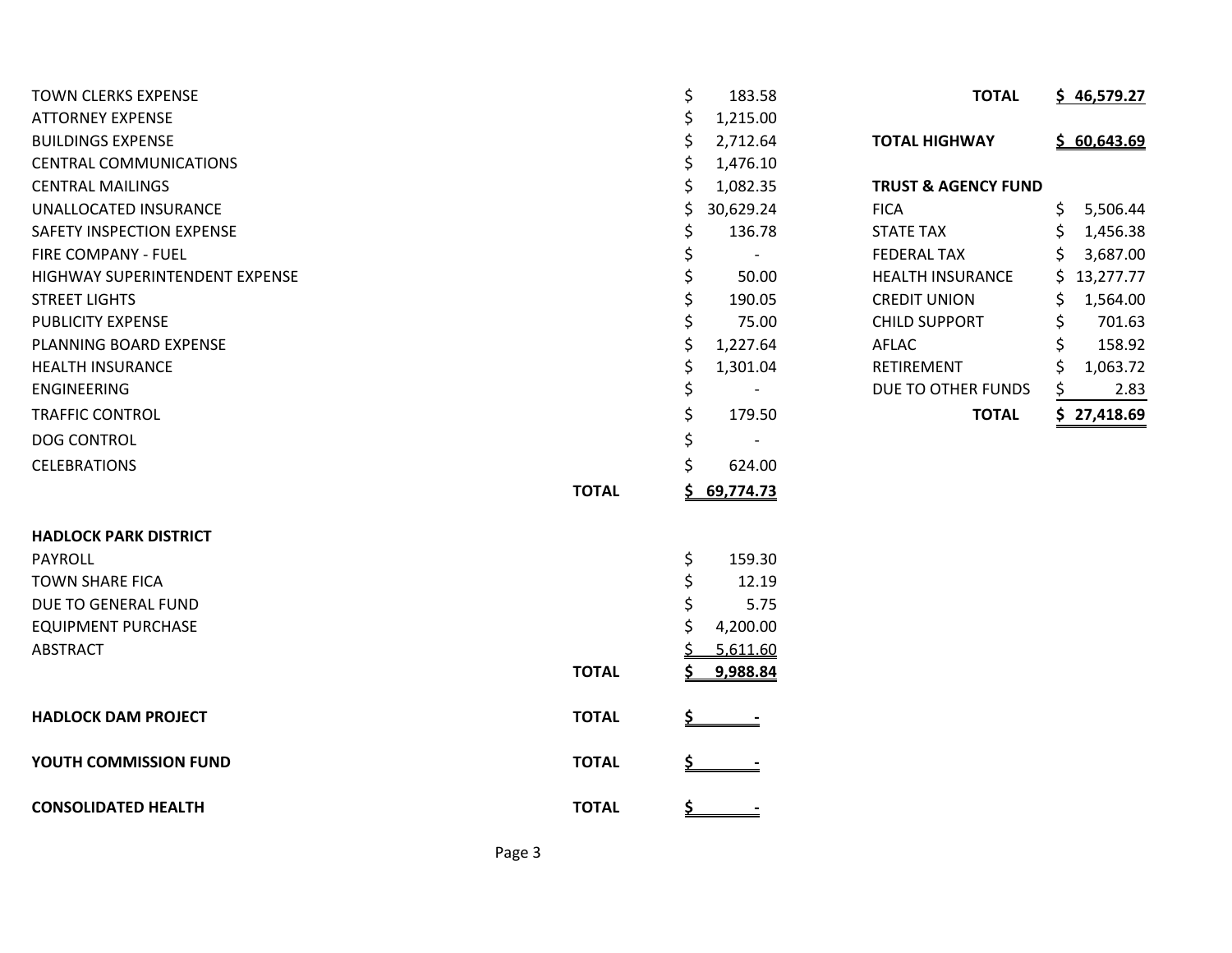| <b>TOWN CLERKS EXPENSE</b>     |              | \$         | 183.58    | <b>TOTAL</b>                   | \$46,579.27    |
|--------------------------------|--------------|------------|-----------|--------------------------------|----------------|
| <b>ATTORNEY EXPENSE</b>        |              | \$         | 1,215.00  |                                |                |
| <b>BUILDINGS EXPENSE</b>       |              | \$         | 2,712.64  | <b>TOTAL HIGHWAY</b>           | \$60,643.69    |
| <b>CENTRAL COMMUNICATIONS</b>  |              | Ś          | 1,476.10  |                                |                |
| <b>CENTRAL MAILINGS</b>        |              | \$         | 1,082.35  | <b>TRUST &amp; AGENCY FUND</b> |                |
| UNALLOCATED INSURANCE          |              | \$         | 30,629.24 | <b>FICA</b>                    | \$<br>5,506.44 |
| SAFETY INSPECTION EXPENSE      |              | \$         | 136.78    | <b>STATE TAX</b>               | 1,456.38<br>S  |
| FIRE COMPANY - FUEL            |              |            |           | <b>FEDERAL TAX</b>             | 3,687.00<br>S. |
| HIGHWAY SUPERINTENDENT EXPENSE |              |            | 50.00     | <b>HEALTH INSURANCE</b>        | \$13,277.77    |
| <b>STREET LIGHTS</b>           |              | \$         | 190.05    | <b>CREDIT UNION</b>            | 1,564.00<br>S  |
| <b>PUBLICITY EXPENSE</b>       |              |            | 75.00     | <b>CHILD SUPPORT</b>           | 701.63         |
| PLANNING BOARD EXPENSE         |              | \$         | 1,227.64  | AFLAC                          | 158.92         |
| <b>HEALTH INSURANCE</b>        |              | \$         | 1,301.04  | RETIREMENT                     | \$<br>1,063.72 |
| <b>ENGINEERING</b>             |              | \$         |           | DUE TO OTHER FUNDS             | 2.83<br>S.     |
| <b>TRAFFIC CONTROL</b>         |              | \$         | 179.50    | <b>TOTAL</b>                   | \$27,418.69    |
| <b>DOG CONTROL</b>             |              | \$         |           |                                |                |
| <b>CELEBRATIONS</b>            |              | \$         | 624.00    |                                |                |
|                                | <b>TOTAL</b> | S          | 69,774.73 |                                |                |
| <b>HADLOCK PARK DISTRICT</b>   |              |            |           |                                |                |
| <b>PAYROLL</b>                 |              | \$         | 159.30    |                                |                |
| <b>TOWN SHARE FICA</b>         |              | \$         | 12.19     |                                |                |
| DUE TO GENERAL FUND            |              | \$         | 5.75      |                                |                |
| <b>EQUIPMENT PURCHASE</b>      |              | S          | 4,200.00  |                                |                |
| <b>ABSTRACT</b>                |              |            | 5,611.60  |                                |                |
|                                | <b>TOTAL</b> |            | 9,988.84  |                                |                |
| <b>HADLOCK DAM PROJECT</b>     | <b>TOTAL</b> |            |           |                                |                |
| YOUTH COMMISSION FUND          | <b>TOTAL</b> |            |           |                                |                |
| <b>CONSOLIDATED HEALTH</b>     | <b>TOTAL</b> | <u>\$_</u> |           |                                |                |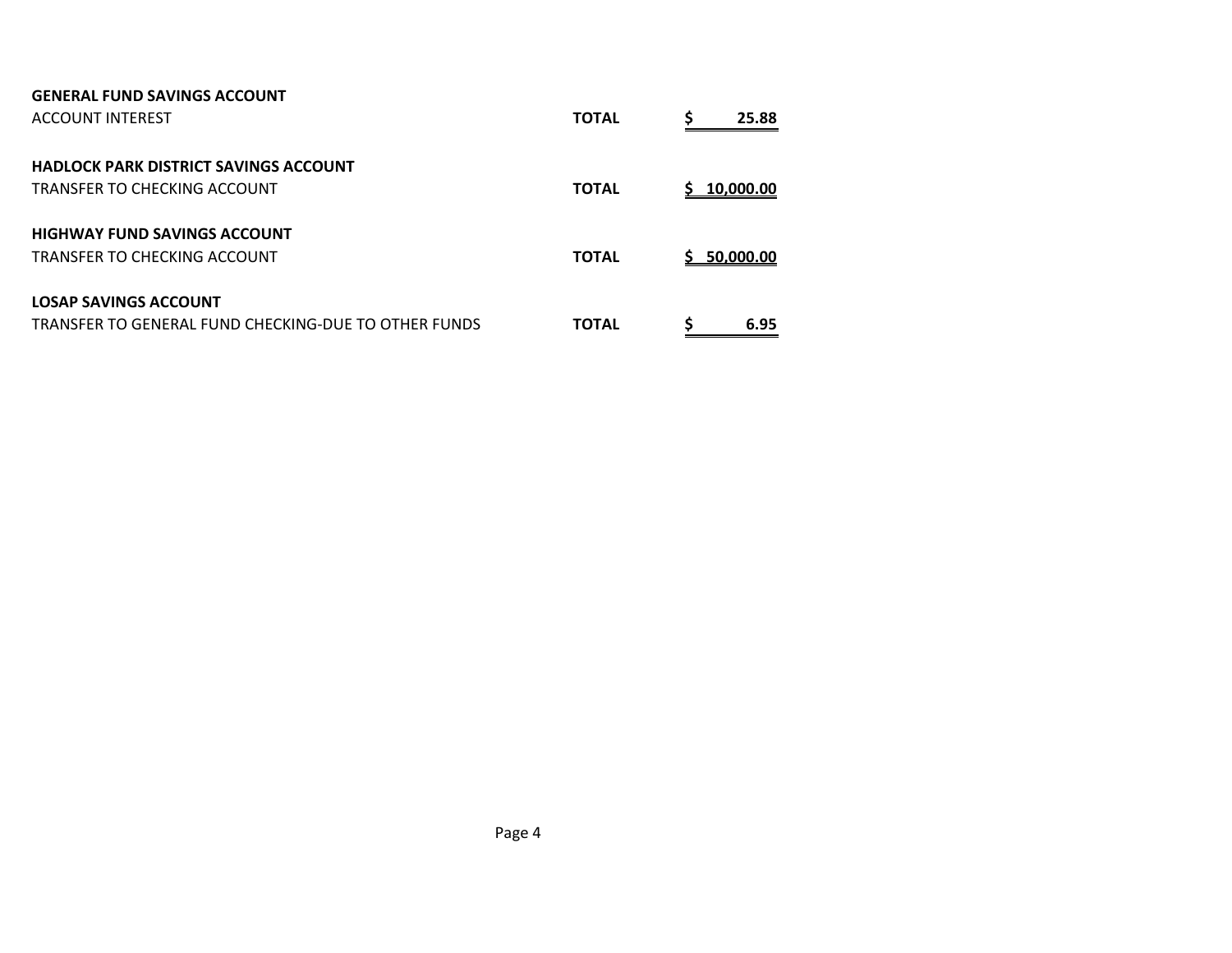| <b>GENERAL FUND SAVINGS ACCOUNT</b><br>ACCOUNT INTEREST                              | <b>TOTAL</b> | \$<br>25.88     |
|--------------------------------------------------------------------------------------|--------------|-----------------|
| <b>HADLOCK PARK DISTRICT SAVINGS ACCOUNT</b><br><b>TRANSFER TO CHECKING ACCOUNT</b>  | <b>TOTAL</b> | 10,000.00<br>S. |
| <b>HIGHWAY FUND SAVINGS ACCOUNT</b><br>TRANSFER TO CHECKING ACCOUNT                  | <b>TOTAL</b> | 50,000.00<br>S. |
| <b>LOSAP SAVINGS ACCOUNT</b><br>TRANSFER TO GENERAL FUND CHECKING-DUF TO OTHER FUNDS | <b>TOTAL</b> | S<br>6.95       |